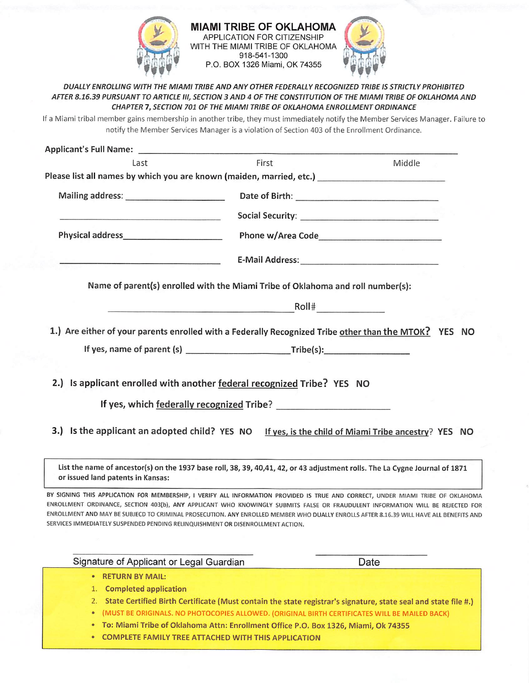

**MIAMI TRIBE OF OKLAHOMA APPLICATION FOR CITIZENSHIP**  $\mathcal{A}$  WITH THE MIAMI TRIBE OF OKLAHOMA 918-541-1300 P.O. BOX 1326 Miami, OK 74355 MIAMI TRIBE OF OKLAHOMA<br>APPLICATION FOR CITIZENSHIP<br>WITH THE MIAMI TRIBE OF OKLAHOMA<br>918-541-1300



DUALLY ENROLLING WITH THE MIAMI TRIBE AND ANY OTHER FEDERALLY RECOGNIZED TRIBE IS STRICTLY PROHIBITED AFTER 8.16.39 PURSUANT TO ARTICLE III, SECTION 3 AND 4 OF THE CONSTITUTION OF THE MIAMI TRIBE OF OKLAHOMA AND CHAPTER 1, SECTION 701 OF THE MIAMI TRIBE OF OKLAHOMA ENROLLMENT ORDINANCE

If a Miami tribal member gains membership in another tribe, they must immediately notify the Member Services Manager. Failure to notify the Member Services Manager is a violation of Section 403 of the Enrollment Ordinance.

| Applicant's Full Name:                                                                                                                                                                                                                                                                                                                                                                                                                                                                         |       |          |        |  |
|------------------------------------------------------------------------------------------------------------------------------------------------------------------------------------------------------------------------------------------------------------------------------------------------------------------------------------------------------------------------------------------------------------------------------------------------------------------------------------------------|-------|----------|--------|--|
| Last                                                                                                                                                                                                                                                                                                                                                                                                                                                                                           | First |          | Middle |  |
| Please list all names by which you are known (maiden, married, etc.) _______________________________                                                                                                                                                                                                                                                                                                                                                                                           |       |          |        |  |
| Mailing address: Mailing and the state of the state of the state of the state of the state of the state of the                                                                                                                                                                                                                                                                                                                                                                                 |       |          |        |  |
|                                                                                                                                                                                                                                                                                                                                                                                                                                                                                                |       |          |        |  |
|                                                                                                                                                                                                                                                                                                                                                                                                                                                                                                |       |          |        |  |
|                                                                                                                                                                                                                                                                                                                                                                                                                                                                                                |       |          |        |  |
| Name of parent(s) enrolled with the Miami Tribe of Oklahoma and roll number(s):                                                                                                                                                                                                                                                                                                                                                                                                                |       |          |        |  |
|                                                                                                                                                                                                                                                                                                                                                                                                                                                                                                |       | $R$ oll# |        |  |
| 1.) Are either of your parents enrolled with a Federally Recognized Tribe other than the MTOK? YES NO                                                                                                                                                                                                                                                                                                                                                                                          |       |          |        |  |
| If yes, name of parent (s) $\frac{1}{2}$ Tribe(s):                                                                                                                                                                                                                                                                                                                                                                                                                                             |       |          |        |  |
|                                                                                                                                                                                                                                                                                                                                                                                                                                                                                                |       |          |        |  |
| 2.) Is applicant enrolled with another federal recognized Tribe? YES NO                                                                                                                                                                                                                                                                                                                                                                                                                        |       |          |        |  |
| If yes, which federally recognized Tribe?                                                                                                                                                                                                                                                                                                                                                                                                                                                      |       |          |        |  |
| 3.) Is the applicant an adopted child? YES NO If yes, is the child of Miami Tribe ancestry? YES NO                                                                                                                                                                                                                                                                                                                                                                                             |       |          |        |  |
| List the name of ancestor(s) on the 1937 base roll, 38, 39, 40,41, 42, or 43 adjustment rolls. The La Cygne Journal of 1871<br>or issued land patents in Kansas:                                                                                                                                                                                                                                                                                                                               |       |          |        |  |
| BY SIGNING THIS APPLICATION FOR MEMBERSHIP, I VERIFY ALL INFORMATION PROVIDED IS TRUE AND CORRECT, UNDER MIAMI TRIBE OF OKLAHOMA<br>ENROLLMENT ORDINANCE, SECTION 403(b), ANY APPLICANT WHO KNOWINGLY SUBMITS FALSE OR FRAUDULENT INFORMATION WILL BE REJECTED FOR<br>ENROLLMENT AND MAY BE SUBJECD TO CRIMINAL PROSECUTION. ANY ENROLLED MEMBER WHO DUALLY ENROLLS AFTER 8.16.39 WILL HAVE ALL BENEFITS AND<br>SERVICES IMMEDIATELY SUSPENDED PENDING RELINQUISHMENT OR DISENROLLMENT ACTION. |       |          |        |  |
| Signature of Applicant or Legal Guardian                                                                                                                                                                                                                                                                                                                                                                                                                                                       |       |          | Date   |  |
| <b>RETURN BY MAIL:</b>                                                                                                                                                                                                                                                                                                                                                                                                                                                                         |       |          |        |  |
| 1. Completed application                                                                                                                                                                                                                                                                                                                                                                                                                                                                       |       |          |        |  |

- 2. State Certified Birth Certificate (Must contain the state registrar's signature, state seal and state file #.)
- (MUST BE ORIGINALS. NO PHOTOCOPIES ALLOWED. (ORIGINAL BIRTH CERTIFICATES WILL BE MAILED BACK)
- To: Miami Tribe of Oklahoma Attn: Enrollment Office P.O. Box 1326, Miami, Ok 74355
- COMPLETE FAMILY TREE ATTACHED WITH THIS APPLICATION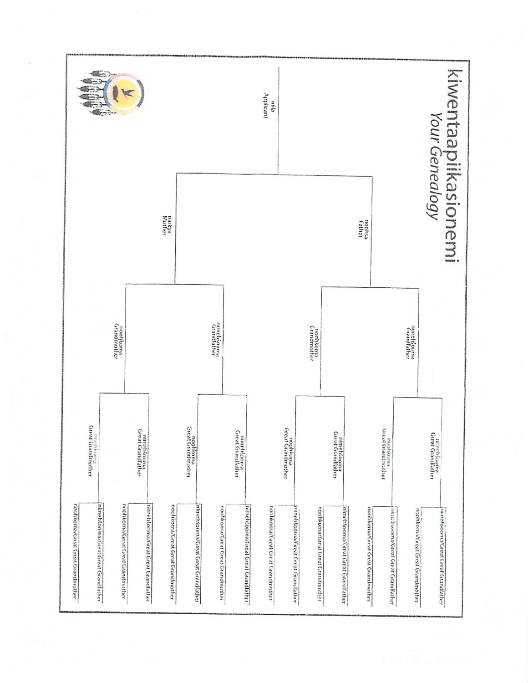